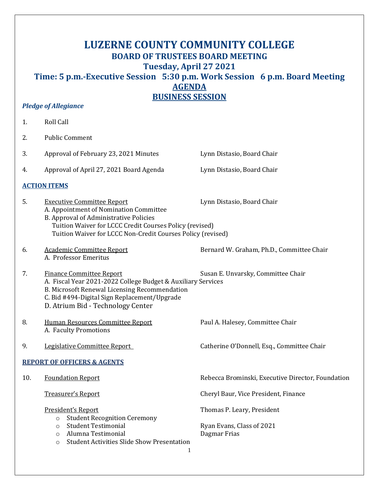# **LUZERNE COUNTY COMMUNITY COLLEGE BOARD OF TRUSTEES BOARD MEETING Tuesday, April 27 2021 Time: 5 p.m.-Executive Session 5:30 p.m. Work Session 6 p.m. Board Meeting AGENDA BUSINESS SESSION**

### *Pledge of Allegiance*

| 1.                                     | Roll Call                                                                                                                                                                                                                                       |                                                                         |  |  |
|----------------------------------------|-------------------------------------------------------------------------------------------------------------------------------------------------------------------------------------------------------------------------------------------------|-------------------------------------------------------------------------|--|--|
| 2.                                     | <b>Public Comment</b>                                                                                                                                                                                                                           |                                                                         |  |  |
| 3.                                     | Approval of February 23, 2021 Minutes                                                                                                                                                                                                           | Lynn Distasio, Board Chair                                              |  |  |
| 4.                                     | Approval of April 27, 2021 Board Agenda                                                                                                                                                                                                         | Lynn Distasio, Board Chair                                              |  |  |
| <b>ACTION ITEMS</b>                    |                                                                                                                                                                                                                                                 |                                                                         |  |  |
| 5.                                     | <b>Executive Committee Report</b><br>A. Appointment of Nomination Committee<br>B. Approval of Administrative Policies<br>Tuition Waiver for LCCC Credit Courses Policy (revised)<br>Tuition Waiver for LCCC Non-Credit Courses Policy (revised) | Lynn Distasio, Board Chair                                              |  |  |
| 6.                                     | <b>Academic Committee Report</b><br>A. Professor Emeritus                                                                                                                                                                                       | Bernard W. Graham, Ph.D., Committee Chair                               |  |  |
| 7.                                     | <b>Finance Committee Report</b><br>A. Fiscal Year 2021-2022 College Budget & Auxiliary Services<br>B. Microsoft Renewal Licensing Recommendation<br>C. Bid #494-Digital Sign Replacement/Upgrade<br>D. Atrium Bid - Technology Center           | Susan E. Unvarsky, Committee Chair                                      |  |  |
| 8.                                     | Human Resources Committee Report<br>A. Faculty Promotions                                                                                                                                                                                       | Paul A. Halesey, Committee Chair                                        |  |  |
| 9.                                     | Legislative Committee Report                                                                                                                                                                                                                    | Catherine O'Donnell, Esq., Committee Chair                              |  |  |
| <b>REPORT OF OFFICERS &amp; AGENTS</b> |                                                                                                                                                                                                                                                 |                                                                         |  |  |
| 10.                                    | <b>Foundation Report</b>                                                                                                                                                                                                                        | Rebecca Brominski, Executive Director, Foundation                       |  |  |
|                                        | Treasurer's Report                                                                                                                                                                                                                              | Cheryl Baur, Vice President, Finance                                    |  |  |
|                                        | President's Report<br><b>Student Recognition Ceremony</b><br>$\circ$<br><b>Student Testimonial</b><br>$\circ$<br>Alumna Testimonial<br>$\circ$<br><b>Student Activities Slide Show Presentation</b><br>$\circ$                                  | Thomas P. Leary, President<br>Ryan Evans, Class of 2021<br>Dagmar Frias |  |  |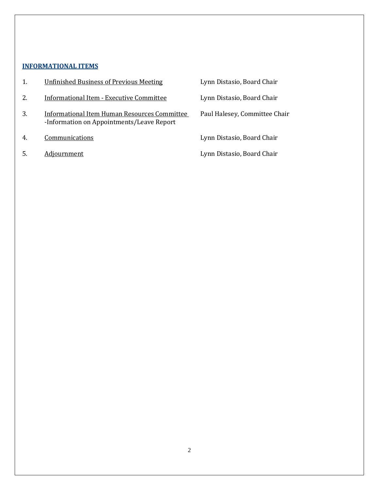### **INFORMATIONAL ITEMS**

|    | <b>Unfinished Business of Previous Meeting</b>                                            | Lynn Distasio, Board Chair    |
|----|-------------------------------------------------------------------------------------------|-------------------------------|
| 2. | <b>Informational Item - Executive Committee</b>                                           | Lynn Distasio, Board Chair    |
| 3. | Informational Item Human Resources Committee<br>-Information on Appointments/Leave Report | Paul Halesey, Committee Chair |
| 4. | Communications                                                                            | Lynn Distasio, Board Chair    |
|    | Adjournment                                                                               | Lynn Distasio, Board Chair    |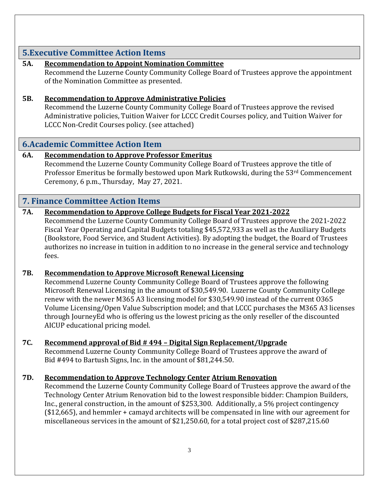## **5.Executive Committee Action Items**

### **5A. Recommendation to Appoint Nomination Committee**

Recommend the Luzerne County Community College Board of Trustees approve the appointment of the Nomination Committee as presented.

### **5B. Recommendation to Approve Administrative Policies**

Recommend the Luzerne County Community College Board of Trustees approve the revised Administrative policies, Tuition Waiver for LCCC Credit Courses policy, and Tuition Waiver for LCCC Non-Credit Courses policy. (see attached)

## **6.Academic Committee Action Item**

### **6A. Recommendation to Approve Professor Emeritus**

Recommend the Luzerne County Community College Board of Trustees approve the title of Professor Emeritus be formally bestowed upon Mark Rutkowski, during the 53rd Commencement Ceremony, 6 p.m., Thursday, May 27, 2021.

## **7. Finance Committee Action Items**

### **7A. Recommendation to Approve College Budgets for Fiscal Year 2021-2022**

Recommend the Luzerne County Community College Board of Trustees approve the 2021-2022 Fiscal Year Operating and Capital Budgets totaling \$45,572,933 as well as the Auxiliary Budgets (Bookstore, Food Service, and Student Activities). By adopting the budget, the Board of Trustees authorizes no increase in tuition in addition to no increase in the general service and technology fees.

### **7B. Recommendation to Approve Microsoft Renewal Licensing**

Recommend Luzerne County Community College Board of Trustees approve the following Microsoft Renewal Licensing in the amount of \$30,549.90. Luzerne County Community College renew with the newer M365 A3 licensing model for \$30,549.90 instead of the current O365 Volume Licensing/Open Value Subscription model; and that LCCC purchases the M365 A3 licenses through JourneyEd who is offering us the lowest pricing as the only reseller of the discounted AICUP educational pricing model.

### **7C. Recommend approval of Bid # 494 – Digital Sign Replacement/Upgrade**

Recommend Luzerne County Community College Board of Trustees approve the award of Bid #494 to Bartush Signs, Inc. in the amount of \$81,244.50.

### **7D. Recommendation to Approve Technology Center Atrium Renovation**

Recommend the Luzerne County Community College Board of Trustees approve the award of the Technology Center Atrium Renovation bid to the lowest responsible bidder: Champion Builders, Inc., general construction, in the amount of \$253,300. Additionally, a 5% project contingency (\$12,665), and hemmler + camayd architects will be compensated in line with our agreement for miscellaneous services in the amount of \$21,250.60, for a total project cost of \$287,215.60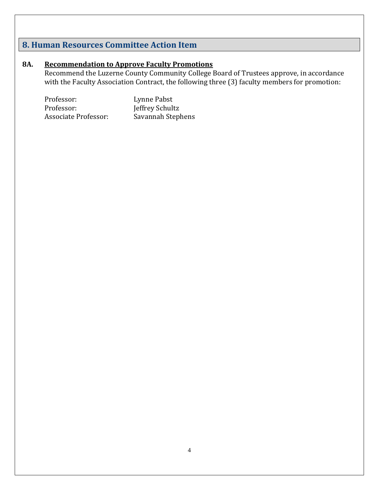# **8. Human Resources Committee Action Item**

### **8A. Recommendation to Approve Faculty Promotions**

Recommend the Luzerne County Community College Board of Trustees approve, in accordance with the Faculty Association Contract, the following three (3) faculty members for promotion:

| Professor:                  | Lynne Pabst       |
|-----------------------------|-------------------|
| Professor:                  | Jeffrey Schultz   |
| <b>Associate Professor:</b> | Savannah Stephens |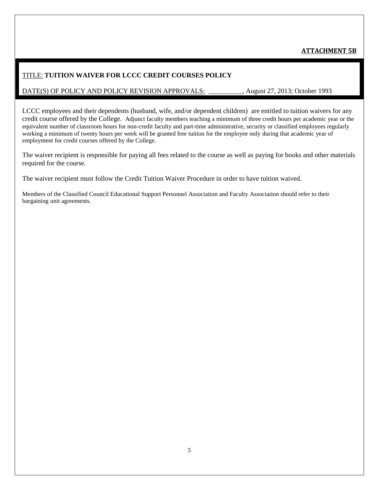### **ATTACHMENT 5B**

#### TITLE: **TUITION WAIVER FOR LCCC CREDIT COURSES POLICY**

#### DATE(S) OF POLICY AND POLICY REVISION APPROVALS: \_\_\_\_\_\_\_\_\_\_, August 27, 2013; October 1993

LCCC employees and their dependents (husband, wife, and/or dependent children) are entitled to tuition waivers for any credit course offered by the College. Adjunct faculty members teaching a minimum of three credit hours per academic year or the equivalent number of classroom hours for non-credit faculty and part-time administrative, security or classified employees regularly working a minimum of twenty hours per week will be granted free tuition for the employee only during that academic year of employment for credit courses offered by the College.

The waiver recipient is responsible for paying all fees related to the course as well as paying for books and other materials required for the course.

The waiver recipient must follow the Credit Tuition Waiver Procedure in order to have tuition waived.

Members of the Classified Council Educational Support Personnel Association and Faculty Association should refer to their bargaining unit agreements.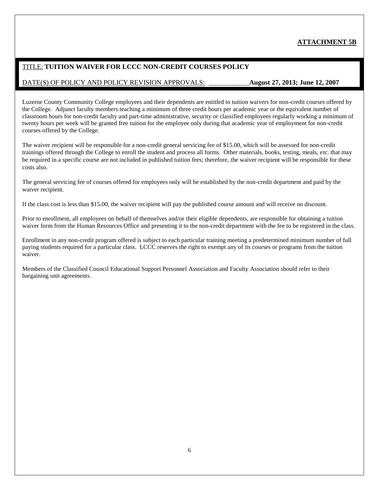#### **ATTACHMENT 5B**

#### TITLE: **TUITION WAIVER FOR LCCC NON-CREDIT COURSES POLICY**

#### DATE(S) OF POLICY AND POLICY REVISION APPROVALS: \_\_\_\_\_\_\_\_\_\_\_\_**August 27, 2013; June 12, 2007**

Luzerne County Community College employees and their dependents are entitled to tuition waivers for non-credit courses offered by the College. Adjunct faculty members teaching a minimum of three credit hours per academic year or the equivalent number of classroom hours for non-credit faculty and part-time administrative, security or classified employees regularly working a minimum of twenty hours per week will be granted free tuition for the employee only during that academic year of employment for non-credit courses offered by the College.

The waiver recipient will be responsible for a non-credit general servicing fee of \$15.00, which will be assessed for non-credit trainings offered through the College to enroll the student and process all forms. Other materials, books, testing, meals, etc. that may be required in a specific course are not included in published tuition fees; therefore, the waiver recipient will be responsible for these costs also.

The general servicing fee of courses offered for employees only will be established by the non-credit department and paid by the waiver recipient.

If the class cost is less than \$15.00, the waiver recipient will pay the published course amount and will receive no discount.

Prior to enrollment, all employees on behalf of themselves and/or their eligible dependents, are responsible for obtaining a tuition waiver form from the Human Resources Office and presenting it to the non-credit department with the fee to be registered in the class.

Enrollment in any non-credit program offered is subject to each particular training meeting a predetermined minimum number of full paying students required for a particular class. LCCC reserves the right to exempt any of its courses or programs from the tuition waiver.

Members of the Classified Council Educational Support Personnel Association and Faculty Association should refer to their bargaining unit agreements.